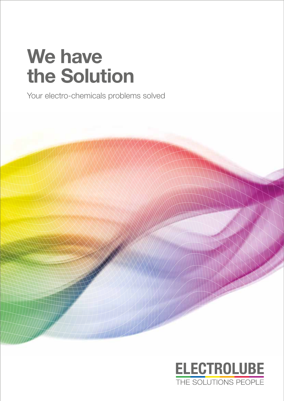# **We have the Solution**

Your electro-chemicals problems solved



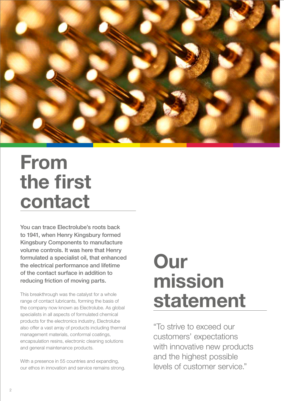

# **From the first contact**

You can trace Electrolube's roots back to 1941, when Henry Kingsbury formed Kingsbury Components to manufacture volume controls. It was here that Henry formulated a specialist oil, that enhanced the electrical performance and lifetime of the contact surface in addition to reducing friction of moving parts.

This breakthrough was the catalyst for a whole range of contact lubricants, forming the basis of the company now known as Electrolube. As global specialists in all aspects of formulated chemical products for the electronics industry, Electrolube also offer a vast array of products including thermal management materials, conformal coatings, encapsulation resins, electronic cleaning solutions and general maintenance products.

With a presence in 55 countries and expanding, our ethos in innovation and service remains strong.

# **Our mission statement**

"To strive to exceed our customers' expectations with innovative new products and the highest possible levels of customer service."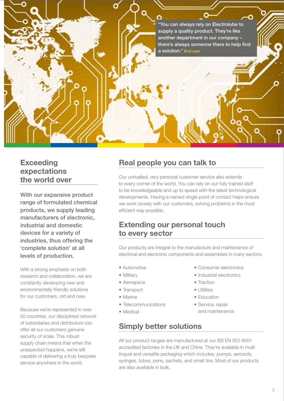"You can always rely on Electrolube to supply a quality product. They're like another department in our company – there's always someone there to help find a solution." End user

### **Exceeding expectations the world over**

With our expansive product range of formulated chemical products, we supply leading manufacturers of electronic, industrial and domestic devices for a variety of industries, thus offering the 'complete solution' at all levels of production.

With a strong emphasis on both research and collaboration, we are constantly developing new and environmentally friendly solutions for our customers, old and new.

Because we're represented in over 50 countries, our disciplined network of subsidiaries and distributors can offer all our customers genuine security of scale. This robust supply chain means that when the unexpected happens, we're still capable of delivering a truly bespoke service anywhere in the world.

## **Real people you can talk to**

Our unrivalled, very personal customer service also extends to every corner of the world. You can rely on our fully trained staff to be knowledgeable and up to speed with the latest technological developments. Having a named single point of contact helps ensure we work closely with our customers, solving problems in the most efficient way possible.

#### **Extending our personal touch to every sector**

Our products are integral to the manufacture and maintenance of electrical and electronic components and assemblies in many sectors:

- Automotive
- Military
- Aerospace
- Transport
- Marine
- Telecommunications
- Medical

### **Simply better solutions**

- Consumer electronics
- Industrial electronics
- Traction
- Utilities
- Education
- Service, repair and maintenance

All our product ranges are manufactured at our BS EN ISO 9001 accredited factories in the UK and China. They're available in multi lingual and versatile packaging which includes: pumps, aerosols, syringes, tubes, pens, sachets, and small tins. Most of our products are also available in bulk.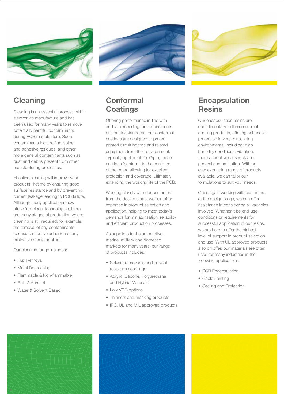



## **Cleaning**

Cleaning is an essential process within electronics manufacture and has been used for many years to remove potentially harmful contaminants during PCB manufacture. Such contaminants include flux, solder and adhesive residues, and other more general contaminants such as dust and debris present from other manufacturing processes.

Effective cleaning will improve your products' lifetime by ensuring good surface resistance and by preventing current leakage leading to PCB failure. Although many applications now utilise 'no-clean' technologies, there are many stages of production where cleaning is still required; for example, the removal of any contaminants to ensure effective adhesion of any protective media applied.

Our cleaning range includes:

- Flux Removal
- Metal Degreasing
- Flammable & Non-flammable
- Bulk & Aerosol
- Water & Solvent Based

## **Conformal Coatings**

Offering performance in-line with and far exceeding the requirements of industry standards, our conformal coatings are designed to protect printed circuit boards and related equipment from their environment. Typically applied at 25-75µm, these coatings 'conform' to the contours of the board allowing for excellent protection and coverage, ultimately extending the working life of the PCB.

Working closely with our customers from the design stage, we can offer expertise in product selection and application, helping to meet today's demands for miniaturisation, reliability and efficient production processes.

As suppliers to the automotive, marine, military and domestic markets for many years, our range of products includes:

- Solvent removable and solvent resistance coatings
- Acrylic, Silicone, Polyurethane and Hybrid Materials
- Low VOC options
- Thinners and masking products
- IPC, UL and MIL approved products



### **Encapsulation Resins**

Our encapsulation resins are complimentary to the conformal coating products, offering enhanced protection in very challenging environments, including; high humidity conditions, vibration, thermal or physical shock and general contamination. With an ever expanding range of products available, we can tailor our formulations to suit your needs.

Once again working with customers at the design stage, we can offer assistance in considering all variables involved. Whether it be end-use conditions or requirements for successful application of our resins, we are here to offer the highest level of support in product selection and use. With UL approved products also on offer, our materials are often used for many industries in the following applications:

- PCB Encapsulation
- Cable Jointing
- Sealing and Protection



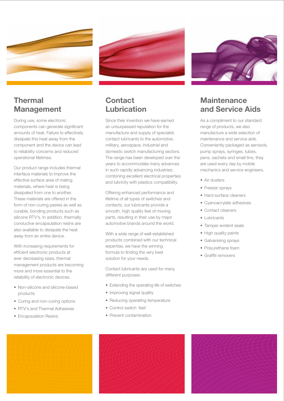



### **Thermal Management**

During use, some electronic components can generate significant amounts of heat. Failure to effectively dissipate this heat away from the component and the device can lead to reliability concerns and reduced operational lifetimes.

Our product range includes thermal interface materials to improve the effective surface area of mating materials, where heat is being dissipated from one to another. These materials are offered in the form of non-curing pastes as well as curable, bonding products such as silicone RTV's. In addition, thermally conductive encapsulation resins are also available to dissipate the heat away from an entire device.

With increasing requirements for efficient electronic products at ever decreasing sizes, thermal management products are becoming more and more essential to the reliability of electronic devices.

- Non-silicone and silicone-based products
- Curing and non-curing options
- RTV's and Thermal Adhesives
- Encapsulation Resins

### **Contact Lubrication**

Since their invention we have earned an unsurpassed reputation for the manufacture and supply of specialist contact lubricants to the automotive, military, aerospace, industrial and domestic switch manufacturing sectors. The range has been developed over the years to accommodate many advances in such rapidly advancing industries; combining excellent electrical properties and lubricity with plastics compatibility.

Offering enhanced performance and lifetime of all types of switches and contacts, our lubricants provide a smooth, high quality feel of moving parts, resulting in their use by major automotive brands around the world.

With a wide range of well-established products combined with our technical expertise, we have the winning formula to finding the very best solution for your needs.

Contact lubricants are used for many different purposes:

- Extending the operating life of switches
- Improving signal quality
- Reducing operating temperature
- Control switch 'feel'
- Prevent contamination



## **Maintenance and Service Aids**

As a compliment to our standard range of products, we also manufacture a wide selection of maintenance and service aids. Conveniently packaged as aerosols, pump sprays, syringes, tubes, pens, sachets and small tins, they are used every day by mobile mechanics and service engineers.

- Air dusters
- Freezer sprays
- Hard surface cleaners
- Cyanoacrylate adhesives
- Contact cleaners
- Lubricants
- Tamper evident seals
- High quality paints
- Galvanising sprays
- Polyurethane foam
- Graffiti removers





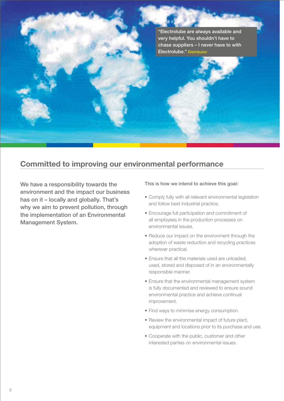"Electrolube are always available and very helpful. You shouldn't have to chase suppliers – I never have to with Electrolube." Distributor

### **Committed to improving our environmental performance**

We have a responsibility towards the environment and the impact our business has on it – locally and globally. That's why we aim to prevent pollution, through the implementation of an Environmental Management System.

#### This is how we intend to achieve this goal:

- Comply fully with all relevant environmental legislation and follow best industrial practice.
- Encourage full participation and commitment of all employees in the production processes on environmental issues.
- Reduce our impact on the environment through the adoption of waste reduction and recycling practices wherever practical.
- Ensure that all the materials used are unloaded, used, stored and disposed of in an environmentally responsible manner.
- Ensure that the environmental management system is fully documented and reviewed to ensure sound environmental practice and achieve continual improvement.
- Find ways to minimise energy consumption.
- Review the environmental impact of future plant, equipment and locations prior to its purchase and use.
- Cooperate with the public, customer and other interested parties on environmental issues.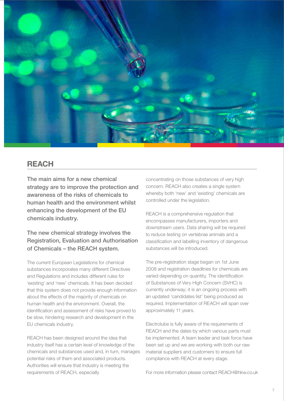

#### **REACH**

The main aims for a new chemical strategy are to improve the protection and awareness of the risks of chemicals to human health and the environment whilst enhancing the development of the EU chemicals industry.

#### The new chemical strategy involves the Registration, Evaluation and Authorisation of Chemicals – the REACH system.

The current European Legislations for chemical substances incorporates many different Directives and Regulations and includes different rules for 'existing' and 'new' chemicals. It has been decided that this system does not provide enough information about the effects of the majority of chemicals on human health and the environment. Overall, the identification and assessment of risks have proved to be slow, hindering research and development in the EU chemicals industry.

REACH has been designed around the idea that industry itself has a certain level of knowledge of the chemicals and substances used and, in turn, manages potential risks of them and associated products. Authorities will ensure that industry is meeting the requirements of REACH, especially

concentrating on those substances of very high concern. REACH also creates a single system whereby both 'new' and 'existing' chemicals are controlled under the legislation.

REACH is a comprehensive regulation that encompasses manufacturers, importers and downstream users. Data sharing will be required to reduce testing on vertebrae animals and a classification and labelling inventory of dangerous substances will be introduced.

The pre-registration stage began on 1st June 2008 and registration deadlines for chemicals are varied depending on quantity. The identification of Substances of Very High Concern (SVHC) is currently underway; it is an ongoing process with an updated 'candidates list' being produced as required. Implementation of REACH will span over approximately 11 years.

Electrolube is fully aware of the requirements of REACH and the dates by which various parts must be implemented. A team leader and task force have been set up and we are working with both our raw material suppliers and customers to ensure full compliance with REACH at every stage.

For more information please contact REACH@hkw.co.uk